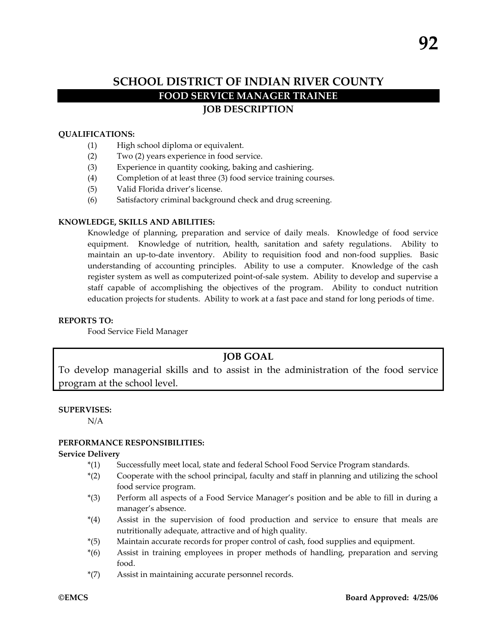# **SCHOOL DISTRICT OF INDIAN RIVER COUNTY FOOD SERVICE MANAGER TRAINEE JOB DESCRIPTION**

### **QUALIFICATIONS:**

- (1) High school diploma or equivalent.
- (2) Two (2) years experience in food service.
- (3) Experience in quantity cooking, baking and cashiering.
- (4) Completion of at least three (3) food service training courses.
- (5) Valid Florida driver's license.
- (6) Satisfactory criminal background check and drug screening.

#### **KNOWLEDGE, SKILLS AND ABILITIES:**

Knowledge of planning, preparation and service of daily meals. Knowledge of food service equipment. Knowledge of nutrition, health, sanitation and safety regulations. Ability to maintain an up-to-date inventory. Ability to requisition food and non-food supplies. Basic understanding of accounting principles. Ability to use a computer. Knowledge of the cash register system as well as computerized point-of-sale system. Ability to develop and supervise a staff capable of accomplishing the objectives of the program. Ability to conduct nutrition education projects for students. Ability to work at a fast pace and stand for long periods of time.

## **REPORTS TO:**

Food Service Field Manager

# **JOB GOAL**

To develop managerial skills and to assist in the administration of the food service program at the school level.

#### **SUPERVISES:**

N/A

#### **PERFORMANCE RESPONSIBILITIES:**

#### **Service Delivery**

- \*(1) Successfully meet local, state and federal School Food Service Program standards.
- \*(2) Cooperate with the school principal, faculty and staff in planning and utilizing the school food service program.
- \*(3) Perform all aspects of a Food Service Manager's position and be able to fill in during a manager's absence.
- \*(4) Assist in the supervision of food production and service to ensure that meals are nutritionally adequate, attractive and of high quality.
- \*(5) Maintain accurate records for proper control of cash, food supplies and equipment.
- \*(6) Assist in training employees in proper methods of handling, preparation and serving food.
- \*(7) Assist in maintaining accurate personnel records.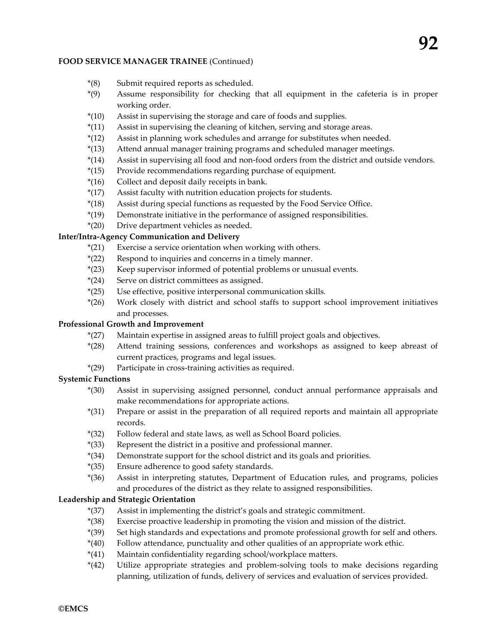#### **FOOD SERVICE MANAGER TRAINEE** (Continued)

- \*(8) Submit required reports as scheduled.
- \*(9) Assume responsibility for checking that all equipment in the cafeteria is in proper working order.
- \*(10) Assist in supervising the storage and care of foods and supplies.
- \*(11) Assist in supervising the cleaning of kitchen, serving and storage areas.
- \*(12) Assist in planning work schedules and arrange for substitutes when needed.
- \*(13) Attend annual manager training programs and scheduled manager meetings.
- \*(14) Assist in supervising all food and non-food orders from the district and outside vendors.
- \*(15) Provide recommendations regarding purchase of equipment.
- \*(16) Collect and deposit daily receipts in bank.
- \*(17) Assist faculty with nutrition education projects for students.
- \*(18) Assist during special functions as requested by the Food Service Office.
- \*(19) Demonstrate initiative in the performance of assigned responsibilities.
- \*(20) Drive department vehicles as needed.

### **Inter/Intra-Agency Communication and Delivery**

- \*(21) Exercise a service orientation when working with others.
- \*(22) Respond to inquiries and concerns in a timely manner.
- \*(23) Keep supervisor informed of potential problems or unusual events.
- \*(24) Serve on district committees as assigned.
- \*(25) Use effective, positive interpersonal communication skills.
- \*(26) Work closely with district and school staffs to support school improvement initiatives and processes.

# **Professional Growth and Improvement**

- \*(27) Maintain expertise in assigned areas to fulfill project goals and objectives.
- \*(28) Attend training sessions, conferences and workshops as assigned to keep abreast of current practices, programs and legal issues.
- \*(29) Participate in cross-training activities as required.

# **Systemic Functions**

- \*(30) Assist in supervising assigned personnel, conduct annual performance appraisals and make recommendations for appropriate actions.
- \*(31) Prepare or assist in the preparation of all required reports and maintain all appropriate records.
- \*(32) Follow federal and state laws, as well as School Board policies.
- \*(33) Represent the district in a positive and professional manner.
- \*(34) Demonstrate support for the school district and its goals and priorities.
- \*(35) Ensure adherence to good safety standards.
- \*(36) Assist in interpreting statutes, Department of Education rules, and programs, policies and procedures of the district as they relate to assigned responsibilities.

# **Leadership and Strategic Orientation**

- \*(37) Assist in implementing the district's goals and strategic commitment.
- \*(38) Exercise proactive leadership in promoting the vision and mission of the district.
- \*(39) Set high standards and expectations and promote professional growth for self and others.
- \*(40) Follow attendance, punctuality and other qualities of an appropriate work ethic.
- \*(41) Maintain confidentiality regarding school/workplace matters.
- \*(42) Utilize appropriate strategies and problem-solving tools to make decisions regarding planning, utilization of funds, delivery of services and evaluation of services provided.